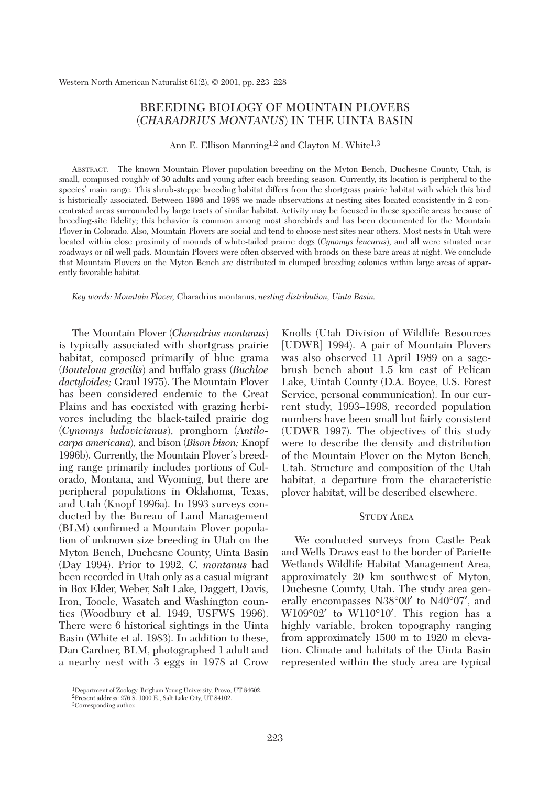# BREEDING BIOLOGY OF MOUNTAIN PLOVERS (*CHARADRIUS MONTANUS*) IN THE UINTA BASIN

Ann E. Ellison Manning<sup>1,2</sup> and Clayton M. White<sup>1,3</sup>

ABSTRACT.—The known Mountain Plover population breeding on the Myton Bench, Duchesne County, Utah, is small, composed roughly of 30 adults and young after each breeding season. Currently, its location is peripheral to the species' main range. This shrub-steppe breeding habitat differs from the shortgrass prairie habitat with which this bird is historically associated. Between 1996 and 1998 we made observations at nesting sites located consistently in 2 concentrated areas surrounded by large tracts of similar habitat. Activity may be focused in these specific areas because of breeding-site fidelity; this behavior is common among most shorebirds and has been documented for the Mountain Plover in Colorado. Also, Mountain Plovers are social and tend to choose nest sites near others. Most nests in Utah were located within close proximity of mounds of white-tailed prairie dogs (*Cynomys leucurus*), and all were situated near roadways or oil well pads. Mountain Plovers were often observed with broods on these bare areas at night. We conclude that Mountain Plovers on the Myton Bench are distributed in clumped breeding colonies within large areas of apparently favorable habitat.

*Key words: Mountain Plover,* Charadrius montanus, *nesting distribution, Uinta Basin.*

The Mountain Plover (*Charadrius montanus*) is typically associated with shortgrass prairie habitat, composed primarily of blue grama (*Bouteloua gracilis*) and buffalo grass (*Buchloe dactyloides;* Graul 1975). The Mountain Plover has been considered endemic to the Great Plains and has coexisted with grazing herbivores including the black-tailed prairie dog (*Cynomys ludovicianus*), pronghorn (*Antilocarpa americana*), and bison (*Bison bison;* Knopf 1996b). Currently, the Mountain Plover's breeding range primarily includes portions of Colorado, Montana, and Wyoming, but there are peripheral populations in Oklahoma, Texas, and Utah (Knopf 1996a). In 1993 surveys conducted by the Bureau of Land Management (BLM) confirmed a Mountain Plover population of unknown size breeding in Utah on the Myton Bench, Duchesne County, Uinta Basin (Day 1994). Prior to 1992, *C. montanus* had been recorded in Utah only as a casual migrant in Box Elder, Weber, Salt Lake, Daggett, Davis, Iron, Tooele, Wasatch and Washington counties (Woodbury et al. 1949, USFWS 1996). There were 6 historical sightings in the Uinta Basin (White et al. 1983). In addition to these, Dan Gardner, BLM, photographed 1 adult and a nearby nest with 3 eggs in 1978 at Crow

Knolls (Utah Division of Wildlife Resources [UDWR] 1994). A pair of Mountain Plovers was also observed 11 April 1989 on a sagebrush bench about 1.5 km east of Pelican Lake, Uintah County (D.A. Boyce, U.S. Forest Service, personal communication). In our current study, 1993–1998, recorded population numbers have been small but fairly consistent (UDWR 1997). The objectives of this study were to describe the density and distribution of the Mountain Plover on the Myton Bench, Utah. Structure and composition of the Utah habitat, a departure from the characteristic plover habitat, will be described elsewhere.

## STUDY AREA

We conducted surveys from Castle Peak and Wells Draws east to the border of Pariette Wetlands Wildlife Habitat Management Area, approximately 20 km southwest of Myton, Duchesne County, Utah. The study area generally encompasses N38°00′ to N40°07′, and W109°02′ to W110°10′. This region has a highly variable, broken topography ranging from approximately 1500 m to 1920 m elevation. Climate and habitats of the Uinta Basin represented within the study area are typical

<sup>1</sup>Department of Zoology, Brigham Young University, Provo, UT 84602. 2Present address: 276 S. 1000 E., Salt Lake City, UT 84102.

<sup>3</sup>Corresponding author.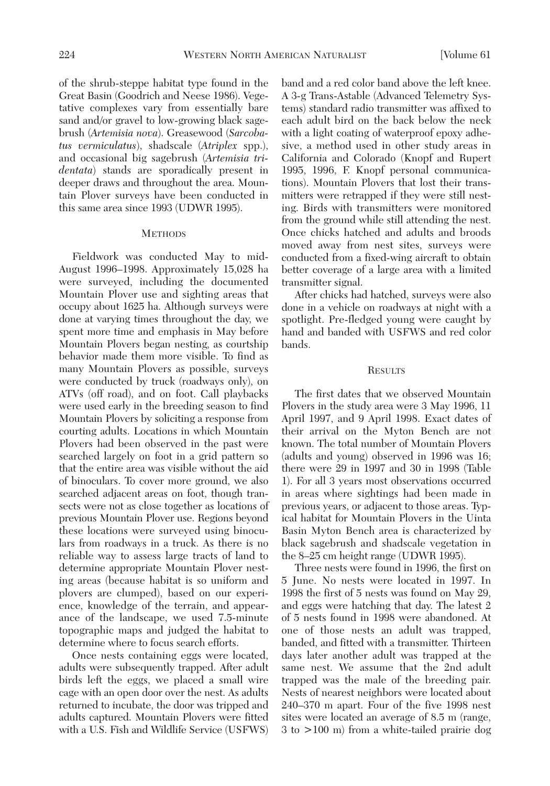of the shrub-steppe habitat type found in the Great Basin (Goodrich and Neese 1986). Vegetative complexes vary from essentially bare sand and/or gravel to low-growing black sagebrush (*Artemisia nova*). Greasewood (*Sarcobatus vermiculatus*), shadscale (*Atriplex* spp.), and occasional big sagebrush (*Artemisia tridentata*) stands are sporadically present in deeper draws and throughout the area. Mountain Plover surveys have been conducted in this same area since 1993 (UDWR 1995).

#### **METHODS**

Fieldwork was conducted May to mid-August 1996–1998. Approximately 15,028 ha were surveyed, including the documented Mountain Plover use and sighting areas that occupy about 1625 ha. Although surveys were done at varying times throughout the day, we spent more time and emphasis in May before Mountain Plovers began nesting, as courtship behavior made them more visible. To find as many Mountain Plovers as possible, surveys were conducted by truck (roadways only), on ATVs (off road), and on foot. Call playbacks were used early in the breeding season to find Mountain Plovers by soliciting a response from courting adults. Locations in which Mountain Plovers had been observed in the past were searched largely on foot in a grid pattern so that the entire area was visible without the aid of binoculars. To cover more ground, we also searched adjacent areas on foot, though transects were not as close together as locations of previous Mountain Plover use. Regions beyond these locations were surveyed using binoculars from roadways in a truck. As there is no reliable way to assess large tracts of land to determine appropriate Mountain Plover nesting areas (because habitat is so uniform and plovers are clumped), based on our experience, knowledge of the terrain, and appearance of the landscape, we used 7.5-minute topographic maps and judged the habitat to determine where to focus search efforts.

Once nests containing eggs were located, adults were subsequently trapped. After adult birds left the eggs, we placed a small wire cage with an open door over the nest. As adults returned to incubate, the door was tripped and adults captured. Mountain Plovers were fitted with a U.S. Fish and Wildlife Service (USFWS) band and a red color band above the left knee. A 3-g Trans-Astable (Advanced Telemetry Systems) standard radio transmitter was affixed to each adult bird on the back below the neck with a light coating of waterproof epoxy adhesive, a method used in other study areas in California and Colorado (Knopf and Rupert 1995, 1996, F. Knopf personal communications). Mountain Plovers that lost their transmitters were retrapped if they were still nesting. Birds with transmitters were monitored from the ground while still attending the nest. Once chicks hatched and adults and broods moved away from nest sites, surveys were conducted from a fixed-wing aircraft to obtain better coverage of a large area with a limited transmitter signal.

After chicks had hatched, surveys were also done in a vehicle on roadways at night with a spotlight. Pre-fledged young were caught by hand and banded with USFWS and red color bands.

### **RESULTS**

The first dates that we observed Mountain Plovers in the study area were 3 May 1996, 11 April 1997, and 9 April 1998. Exact dates of their arrival on the Myton Bench are not known. The total number of Mountain Plovers (adults and young) observed in 1996 was 16; there were 29 in 1997 and 30 in 1998 (Table 1). For all 3 years most observations occurred in areas where sightings had been made in previous years, or adjacent to those areas. Typical habitat for Mountain Plovers in the Uinta Basin Myton Bench area is characterized by black sagebrush and shadscale vegetation in the 8–25 cm height range (UDWR 1995).

Three nests were found in 1996, the first on 5 June. No nests were located in 1997. In 1998 the first of 5 nests was found on May 29, and eggs were hatching that day. The latest 2 of 5 nests found in 1998 were abandoned. At one of those nests an adult was trapped, banded, and fitted with a transmitter. Thirteen days later another adult was trapped at the same nest. We assume that the 2nd adult trapped was the male of the breeding pair. Nests of nearest neighbors were located about 240–370 m apart. Four of the five 1998 nest sites were located an average of 8.5 m (range, 3 to >100 m) from a white-tailed prairie dog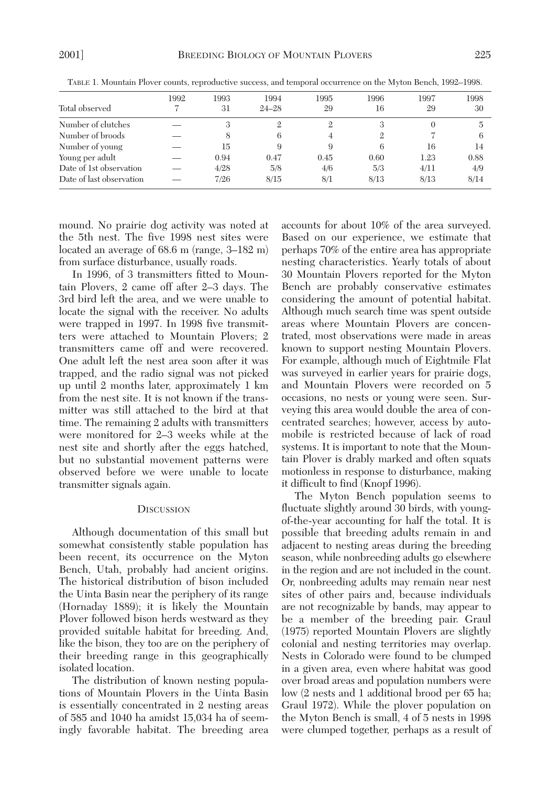| Total observed           | 1992 | 1993<br>31 | 1994<br>$24 - 28$ | 1995<br>29 | 1996<br>16 | 1997<br>29 | 1998<br>30 |
|--------------------------|------|------------|-------------------|------------|------------|------------|------------|
| Number of clutches       |      |            | 2                 | ີ          | 3          |            | 5          |
| Number of broods         |      |            | 6                 |            | 2          |            | 6          |
| Number of young          |      | 15         | 9                 |            | 6          | 16         | 14         |
| Young per adult          |      | 0.94       | 0.47              | 0.45       | 0.60       | 1.23       | 0.88       |
| Date of 1st observation  |      | 4/28       | 5/8               | 4/6        | 5/3        | 4/11       | 4/9        |
| Date of last observation |      | 7/26       | 8/15              | 8/1        | 8/13       | 8/13       | 8/14       |

TABLE 1. Mountain Plover counts, reproductive success, and temporal occurrence on the Myton Bench, 1992–1998.

mound. No prairie dog activity was noted at the 5th nest. The five 1998 nest sites were located an average of 68.6 m (range, 3–182 m) from surface disturbance, usually roads.

In 1996, of 3 transmitters fitted to Mountain Plovers, 2 came off after 2–3 days. The 3rd bird left the area, and we were unable to locate the signal with the receiver. No adults were trapped in 1997. In 1998 five transmitters were attached to Mountain Plovers; 2 transmitters came off and were recovered. One adult left the nest area soon after it was trapped, and the radio signal was not picked up until 2 months later, approximately 1 km from the nest site. It is not known if the transmitter was still attached to the bird at that time. The remaining 2 adults with transmitters were monitored for 2–3 weeks while at the nest site and shortly after the eggs hatched, but no substantial movement patterns were observed before we were unable to locate transmitter signals again.

#### **DISCUSSION**

Although documentation of this small but somewhat consistently stable population has been recent, its occurrence on the Myton Bench, Utah, probably had ancient origins. The historical distribution of bison included the Uinta Basin near the periphery of its range (Hornaday 1889); it is likely the Mountain Plover followed bison herds westward as they provided suitable habitat for breeding. And, like the bison, they too are on the periphery of their breeding range in this geographically isolated location.

The distribution of known nesting populations of Mountain Plovers in the Uinta Basin is essentially concentrated in 2 nesting areas of 585 and 1040 ha amidst 15,034 ha of seemingly favorable habitat. The breeding area

accounts for about 10% of the area surveyed. Based on our experience, we estimate that perhaps 70% of the entire area has appropriate nesting characteristics. Yearly totals of about 30 Mountain Plovers reported for the Myton Bench are probably conservative estimates considering the amount of potential habitat. Although much search time was spent outside areas where Mountain Plovers are concentrated, most observations were made in areas known to support nesting Mountain Plovers. For example, although much of Eightmile Flat was surveyed in earlier years for prairie dogs, and Mountain Plovers were recorded on 5 occasions, no nests or young were seen. Surveying this area would double the area of concentrated searches; however, access by automobile is restricted because of lack of road systems. It is important to note that the Mountain Plover is drably marked and often squats motionless in response to disturbance, making it difficult to find (Knopf 1996).

The Myton Bench population seems to fluctuate slightly around 30 birds, with youngof-the-year accounting for half the total. It is possible that breeding adults remain in and adjacent to nesting areas during the breeding season, while nonbreeding adults go elsewhere in the region and are not included in the count. Or, nonbreeding adults may remain near nest sites of other pairs and, because individuals are not recognizable by bands, may appear to be a member of the breeding pair. Graul (1975) reported Mountain Plovers are slightly colonial and nesting territories may overlap. Nests in Colorado were found to be clumped in a given area, even where habitat was good over broad areas and population numbers were low (2 nests and 1 additional brood per 65 ha; Graul 1972). While the plover population on the Myton Bench is small, 4 of 5 nests in 1998 were clumped together, perhaps as a result of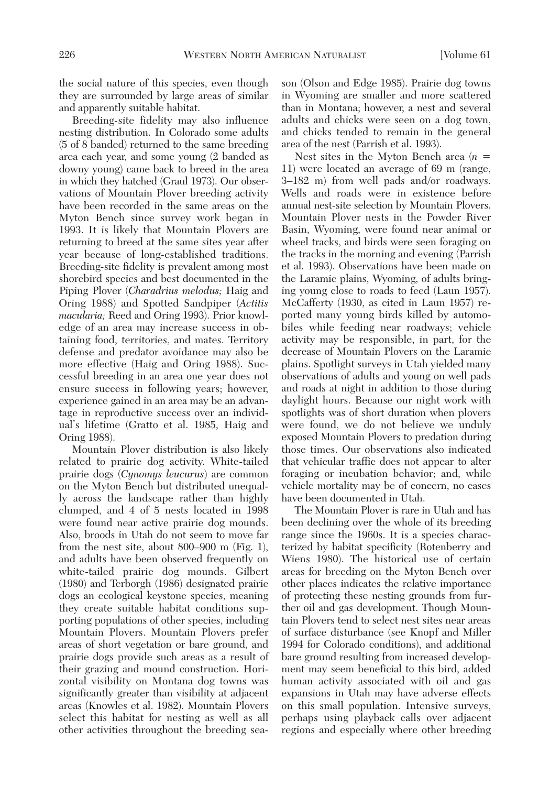the social nature of this species, even though they are surrounded by large areas of similar and apparently suitable habitat.

Breeding-site fidelity may also influence nesting distribution. In Colorado some adults (5 of 8 banded) returned to the same breeding area each year, and some young (2 banded as downy young) came back to breed in the area in which they hatched (Graul 1973). Our observations of Mountain Plover breeding activity have been recorded in the same areas on the Myton Bench since survey work began in 1993. It is likely that Mountain Plovers are returning to breed at the same sites year after year because of long-established traditions. Breeding-site fidelity is prevalent among most shorebird species and best documented in the Piping Plover (*Charadrius melodus;* Haig and Oring 1988) and Spotted Sandpiper (*Actitis macularia;* Reed and Oring 1993). Prior knowledge of an area may increase success in obtaining food, territories, and mates. Territory defense and predator avoidance may also be more effective (Haig and Oring 1988). Successful breeding in an area one year does not ensure success in following years; however, experience gained in an area may be an advantage in reproductive success over an individual's lifetime (Gratto et al. 1985, Haig and Oring 1988).

Mountain Plover distribution is also likely related to prairie dog activity. White-tailed prairie dogs (*Cynomys leucurus*) are common on the Myton Bench but distributed unequally across the landscape rather than highly clumped, and 4 of 5 nests located in 1998 were found near active prairie dog mounds. Also, broods in Utah do not seem to move far from the nest site, about 800–900 m (Fig. 1), and adults have been observed frequently on white-tailed prairie dog mounds. Gilbert (1980) and Terborgh (1986) designated prairie dogs an ecological keystone species, meaning they create suitable habitat conditions supporting populations of other species, including Mountain Plovers. Mountain Plovers prefer areas of short vegetation or bare ground, and prairie dogs provide such areas as a result of their grazing and mound construction. Horizontal visibility on Montana dog towns was significantly greater than visibility at adjacent areas (Knowles et al. 1982). Mountain Plovers select this habitat for nesting as well as all other activities throughout the breeding season (Olson and Edge 1985). Prairie dog towns in Wyoming are smaller and more scattered than in Montana; however, a nest and several adults and chicks were seen on a dog town, and chicks tended to remain in the general area of the nest (Parrish et al. 1993).

Nest sites in the Myton Bench area (*n* = 11) were located an average of 69 m (range, 3–182 m) from well pads and/or roadways. Wells and roads were in existence before annual nest-site selection by Mountain Plovers. Mountain Plover nests in the Powder River Basin, Wyoming, were found near animal or wheel tracks, and birds were seen foraging on the tracks in the morning and evening (Parrish et al. 1993). Observations have been made on the Laramie plains, Wyoming, of adults bringing young close to roads to feed (Laun 1957). McCafferty (1930, as cited in Laun 1957) reported many young birds killed by automobiles while feeding near roadways; vehicle activity may be responsible, in part, for the decrease of Mountain Plovers on the Laramie plains. Spotlight surveys in Utah yielded many observations of adults and young on well pads and roads at night in addition to those during daylight hours. Because our night work with spotlights was of short duration when plovers were found, we do not believe we unduly exposed Mountain Plovers to predation during those times. Our observations also indicated that vehicular traffic does not appear to alter foraging or incubation behavior; and, while vehicle mortality may be of concern, no cases have been documented in Utah.

The Mountain Plover is rare in Utah and has been declining over the whole of its breeding range since the 1960s. It is a species characterized by habitat specificity (Rotenberry and Wiens 1980). The historical use of certain areas for breeding on the Myton Bench over other places indicates the relative importance of protecting these nesting grounds from further oil and gas development. Though Mountain Plovers tend to select nest sites near areas of surface disturbance (see Knopf and Miller 1994 for Colorado conditions), and additional bare ground resulting from increased development may seem beneficial to this bird, added human activity associated with oil and gas expansions in Utah may have adverse effects on this small population. Intensive surveys, perhaps using playback calls over adjacent regions and especially where other breeding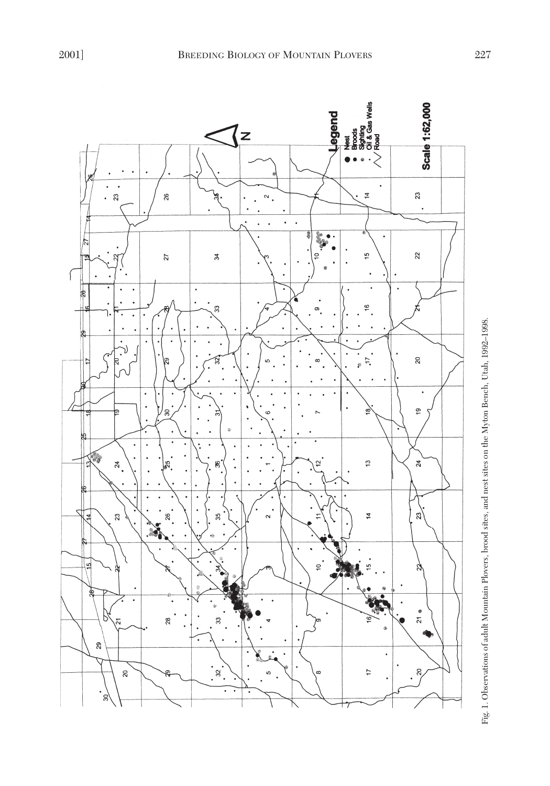

Fig. 1. Observations of adult Mountain Plovers, brood sites, and nest sites on the Myton Bench, Utah, 1992-1998. Fig. 1. Observations of adult Mountain Plovers, brood sites, and nest sites on the Myton Bench, Utah, 1992–1998.